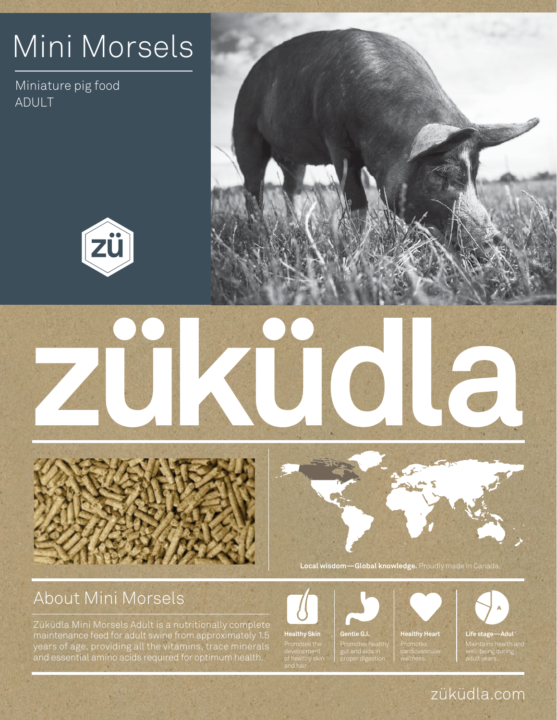## Mini Morsels

Miniature pig food ADULT









About Mini Morsels

Report of the Contract

Züküdla Mini Morsels Adult is a nutritionally complete maintenance feed for adult swine from approximately 1.5 years of age, providing all the vitamins, trace minerals and essential amino acids required for optimum health.



**Local wisdom—Global knowledge.** Proudly made in Canada.



development of healthy skin

**THE REPLACEMENT OF STREET** 

Promotes healthy gut and aids in <del>.</del><br>proper digestid



wellness.



### züküdla.com